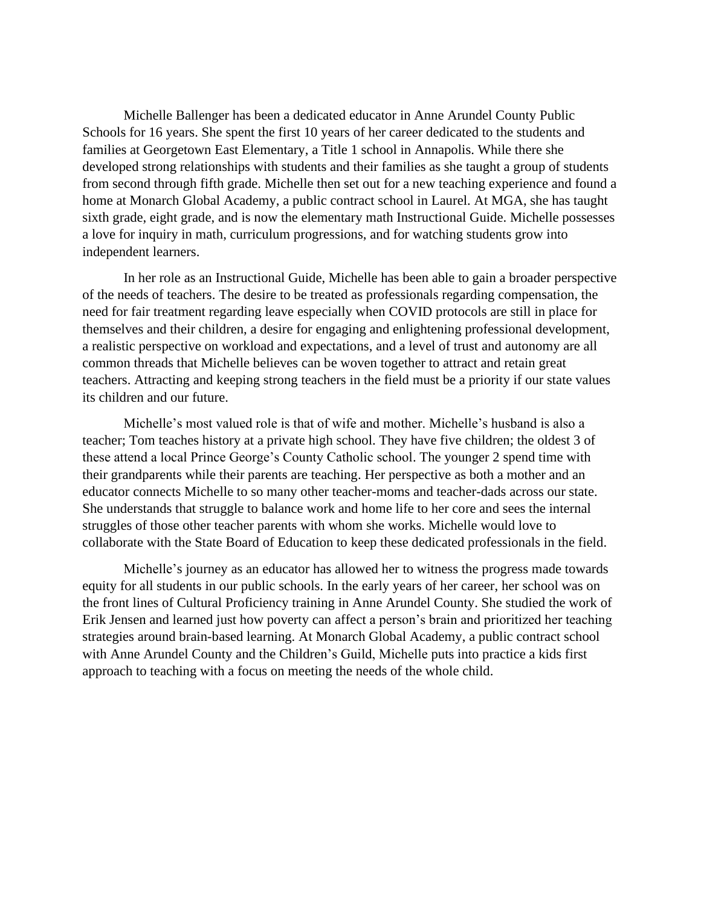Michelle Ballenger has been a dedicated educator in Anne Arundel County Public Schools for 16 years. She spent the first 10 years of her career dedicated to the students and families at Georgetown East Elementary, a Title 1 school in Annapolis. While there she developed strong relationships with students and their families as she taught a group of students from second through fifth grade. Michelle then set out for a new teaching experience and found a home at Monarch Global Academy, a public contract school in Laurel. At MGA, she has taught sixth grade, eight grade, and is now the elementary math Instructional Guide. Michelle possesses a love for inquiry in math, curriculum progressions, and for watching students grow into independent learners.

In her role as an Instructional Guide, Michelle has been able to gain a broader perspective of the needs of teachers. The desire to be treated as professionals regarding compensation, the need for fair treatment regarding leave especially when COVID protocols are still in place for themselves and their children, a desire for engaging and enlightening professional development, a realistic perspective on workload and expectations, and a level of trust and autonomy are all common threads that Michelle believes can be woven together to attract and retain great teachers. Attracting and keeping strong teachers in the field must be a priority if our state values its children and our future.

Michelle's most valued role is that of wife and mother. Michelle's husband is also a teacher; Tom teaches history at a private high school. They have five children; the oldest 3 of these attend a local Prince George's County Catholic school. The younger 2 spend time with their grandparents while their parents are teaching. Her perspective as both a mother and an educator connects Michelle to so many other teacher-moms and teacher-dads across our state. She understands that struggle to balance work and home life to her core and sees the internal struggles of those other teacher parents with whom she works. Michelle would love to collaborate with the State Board of Education to keep these dedicated professionals in the field.

Michelle's journey as an educator has allowed her to witness the progress made towards equity for all students in our public schools. In the early years of her career, her school was on the front lines of Cultural Proficiency training in Anne Arundel County. She studied the work of Erik Jensen and learned just how poverty can affect a person's brain and prioritized her teaching strategies around brain-based learning. At Monarch Global Academy, a public contract school with Anne Arundel County and the Children's Guild, Michelle puts into practice a kids first approach to teaching with a focus on meeting the needs of the whole child.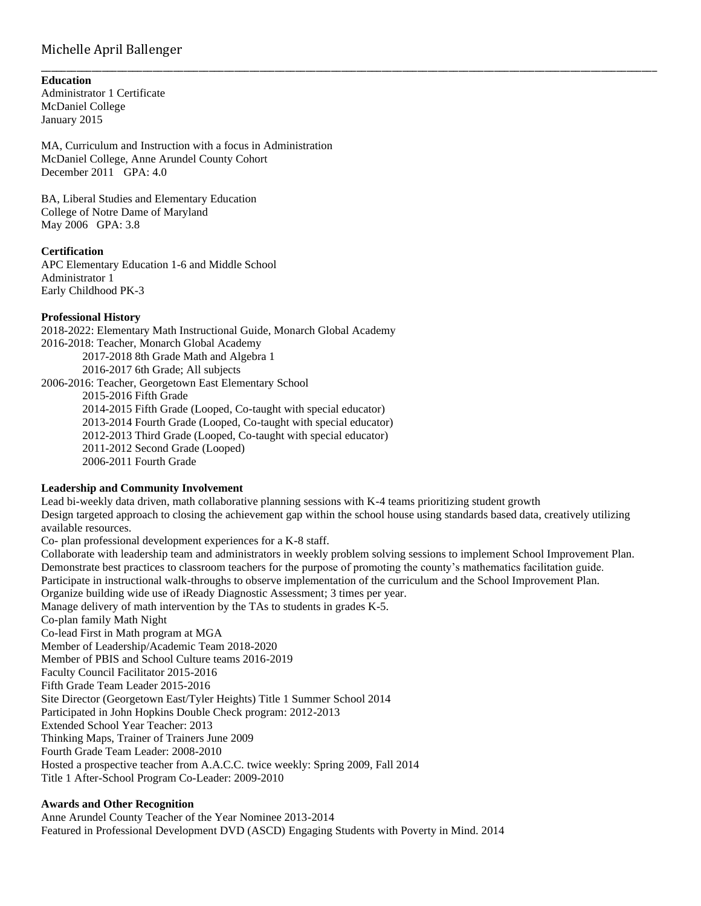# Michelle April Ballenger

#### **Education**

Administrator 1 Certificate McDaniel College January 2015

MA, Curriculum and Instruction with a focus in Administration McDaniel College, Anne Arundel County Cohort December 2011 GPA: 4.0

BA, Liberal Studies and Elementary Education College of Notre Dame of Maryland May 2006 GPA: 3.8

# **Certification**

APC Elementary Education 1-6 and Middle School Administrator 1 Early Childhood PK-3

#### **Professional History**

2018-2022: Elementary Math Instructional Guide, Monarch Global Academy 2016-2018: Teacher, Monarch Global Academy 2017-2018 8th Grade Math and Algebra 1 2016-2017 6th Grade; All subjects 2006-2016: Teacher, Georgetown East Elementary School 2015-2016 Fifth Grade 2014-2015 Fifth Grade (Looped, Co-taught with special educator) 2013-2014 Fourth Grade (Looped, Co-taught with special educator) 2012-2013 Third Grade (Looped, Co-taught with special educator) 2011-2012 Second Grade (Looped)

2006-2011 Fourth Grade

### **Leadership and Community Involvement**

Lead bi-weekly data driven, math collaborative planning sessions with K-4 teams prioritizing student growth Design targeted approach to closing the achievement gap within the school house using standards based data, creatively utilizing available resources.

\_\_\_\_\_\_\_\_\_\_\_\_\_\_\_\_\_\_\_\_\_\_\_\_\_\_\_\_\_\_\_\_\_\_\_\_\_\_\_\_\_\_\_\_\_\_\_\_\_\_\_\_\_\_\_\_\_\_\_\_\_\_\_\_\_\_\_\_\_\_\_\_\_\_\_\_\_\_\_\_\_\_\_\_\_\_\_\_\_\_\_\_\_\_\_\_\_\_\_\_\_\_\_\_\_\_\_\_\_\_\_\_\_\_\_\_\_\_\_\_\_

Co- plan professional development experiences for a K-8 staff.

Collaborate with leadership team and administrators in weekly problem solving sessions to implement School Improvement Plan. Demonstrate best practices to classroom teachers for the purpose of promoting the county's mathematics facilitation guide. Participate in instructional walk-throughs to observe implementation of the curriculum and the School Improvement Plan. Organize building wide use of iReady Diagnostic Assessment; 3 times per year. Manage delivery of math intervention by the TAs to students in grades K-5. Co-plan family Math Night Co-lead First in Math program at MGA Member of Leadership/Academic Team 2018-2020 Member of PBIS and School Culture teams 2016-2019 Faculty Council Facilitator 2015-2016 Fifth Grade Team Leader 2015-2016 Site Director (Georgetown East/Tyler Heights) Title 1 Summer School 2014 Participated in John Hopkins Double Check program: 2012-2013 Extended School Year Teacher: 2013 Thinking Maps, Trainer of Trainers June 2009 Fourth Grade Team Leader: 2008-2010 Hosted a prospective teacher from A.A.C.C. twice weekly: Spring 2009, Fall 2014 Title 1 After-School Program Co-Leader: 2009-2010

## **Awards and Other Recognition**

Anne Arundel County Teacher of the Year Nominee 2013-2014 Featured in Professional Development DVD (ASCD) Engaging Students with Poverty in Mind. 2014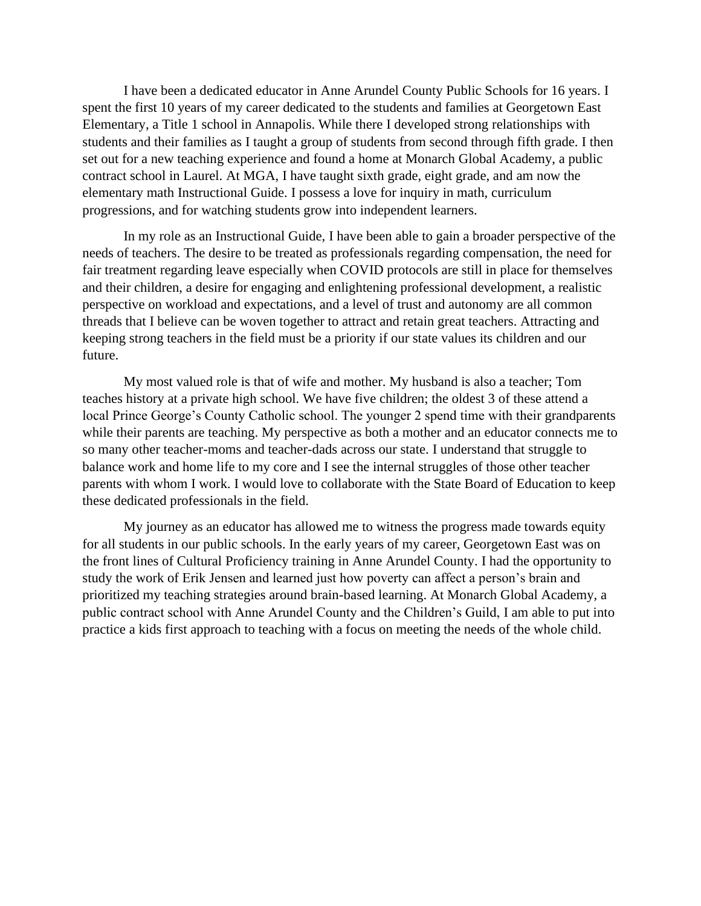I have been a dedicated educator in Anne Arundel County Public Schools for 16 years. I spent the first 10 years of my career dedicated to the students and families at Georgetown East Elementary, a Title 1 school in Annapolis. While there I developed strong relationships with students and their families as I taught a group of students from second through fifth grade. I then set out for a new teaching experience and found a home at Monarch Global Academy, a public contract school in Laurel. At MGA, I have taught sixth grade, eight grade, and am now the elementary math Instructional Guide. I possess a love for inquiry in math, curriculum progressions, and for watching students grow into independent learners.

In my role as an Instructional Guide, I have been able to gain a broader perspective of the needs of teachers. The desire to be treated as professionals regarding compensation, the need for fair treatment regarding leave especially when COVID protocols are still in place for themselves and their children, a desire for engaging and enlightening professional development, a realistic perspective on workload and expectations, and a level of trust and autonomy are all common threads that I believe can be woven together to attract and retain great teachers. Attracting and keeping strong teachers in the field must be a priority if our state values its children and our future.

My most valued role is that of wife and mother. My husband is also a teacher; Tom teaches history at a private high school. We have five children; the oldest 3 of these attend a local Prince George's County Catholic school. The younger 2 spend time with their grandparents while their parents are teaching. My perspective as both a mother and an educator connects me to so many other teacher-moms and teacher-dads across our state. I understand that struggle to balance work and home life to my core and I see the internal struggles of those other teacher parents with whom I work. I would love to collaborate with the State Board of Education to keep these dedicated professionals in the field.

My journey as an educator has allowed me to witness the progress made towards equity for all students in our public schools. In the early years of my career, Georgetown East was on the front lines of Cultural Proficiency training in Anne Arundel County. I had the opportunity to study the work of Erik Jensen and learned just how poverty can affect a person's brain and prioritized my teaching strategies around brain-based learning. At Monarch Global Academy, a public contract school with Anne Arundel County and the Children's Guild, I am able to put into practice a kids first approach to teaching with a focus on meeting the needs of the whole child.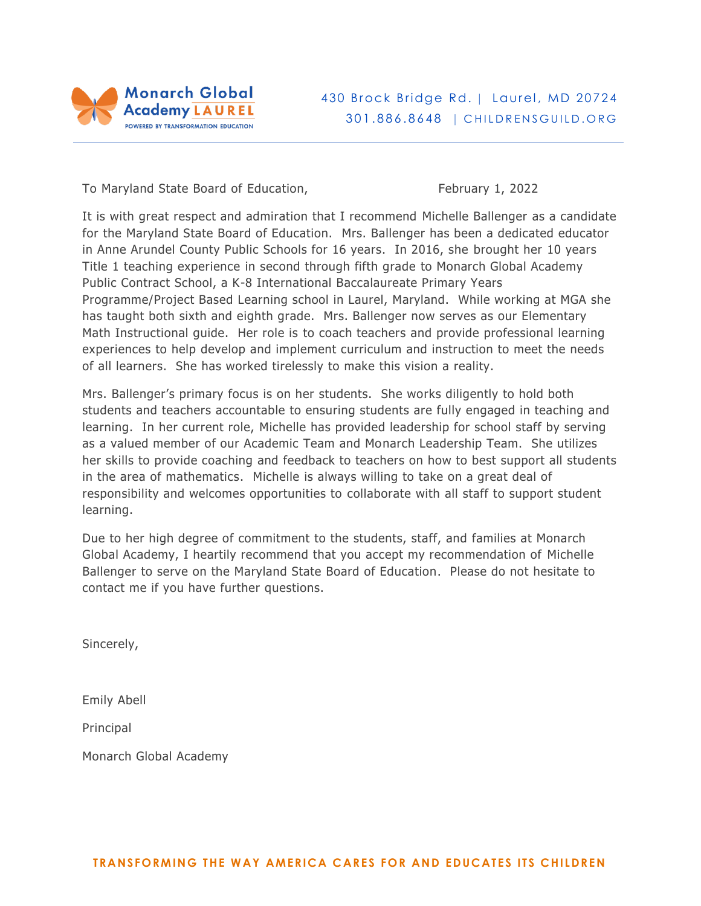

# 430 Brock Bridge Rd. | Laurel, MD 20724 301.886.8648 | CHILDRENSGUILD.ORG

To Maryland State Board of Education, The Maryland State Board of Education,

It is with great respect and admiration that I recommend Michelle Ballenger as a candidate for the Maryland State Board of Education. Mrs. Ballenger has been a dedicated educator in Anne Arundel County Public Schools for 16 years. In 2016, she brought her 10 years Title 1 teaching experience in second through fifth grade to Monarch Global Academy Public Contract School, a K-8 International Baccalaureate Primary Years Programme/Project Based Learning school in Laurel, Maryland. While working at MGA she has taught both sixth and eighth grade. Mrs. Ballenger now serves as our Elementary Math Instructional guide. Her role is to coach teachers and provide professional learning experiences to help develop and implement curriculum and instruction to meet the needs of all learners. She has worked tirelessly to make this vision a reality.

Mrs. Ballenger's primary focus is on her students. She works diligently to hold both students and teachers accountable to ensuring students are fully engaged in teaching and learning. In her current role, Michelle has provided leadership for school staff by serving as a valued member of our Academic Team and Monarch Leadership Team. She utilizes her skills to provide coaching and feedback to teachers on how to best support all students in the area of mathematics. Michelle is always willing to take on a great deal of responsibility and welcomes opportunities to collaborate with all staff to support student learning.

Due to her high degree of commitment to the students, staff, and families at Monarch Global Academy, I heartily recommend that you accept my recommendation of Michelle Ballenger to serve on the Maryland State Board of Education. Please do not hesitate to contact me if you have further questions.

Sincerely,

Emily Abell

Principal

Monarch Global Academy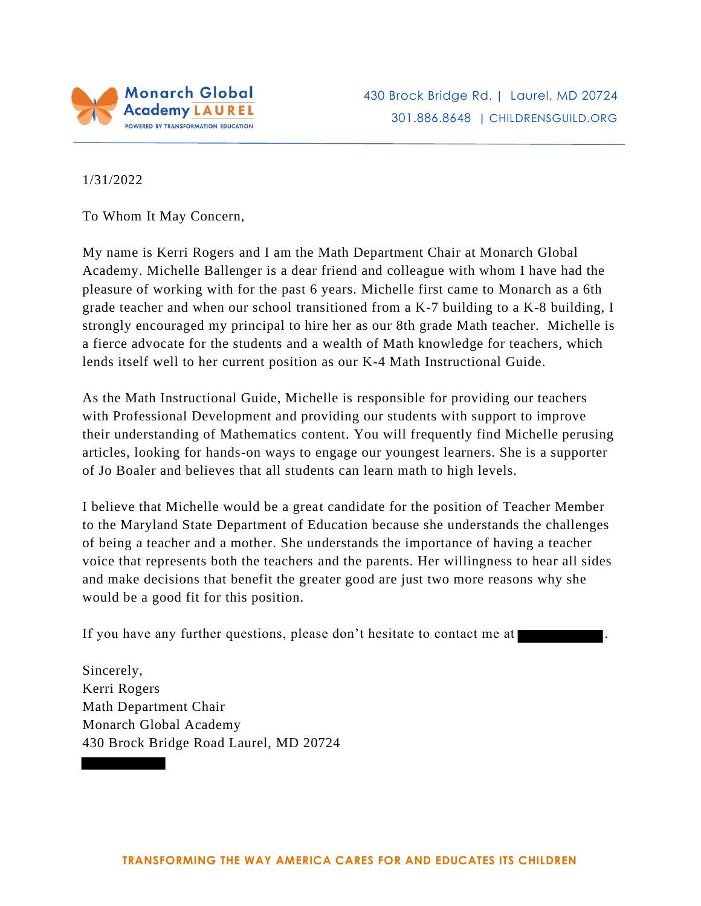

1/31/2022

To Whom It May Concern,

 My name is Kerri Rogers and I am the Math Department Chair at Monarch Global Academy. Michelle Ballenger is a dear friend and colleague with whom I have had the pleasure of working with for the past 6 years. Michelle first came to Monarch as a 6th grade teacher and when our school transitioned from a K-7 building to a K-8 building, I strongly encouraged my principal to hire her as our 8th grade Math teacher. Michelle is a fierce advocate for the students and a wealth of Math knowledge for teachers, which lends itself well to her current position as our K-4 Math Instructional Guide.

 As the Math Instructional Guide, Michelle is responsible for providing our teachers with Professional Development and providing our students with support to improve their understanding of Mathematics content. You will frequently find Michelle perusing articles, looking for hands-on ways to engage our youngest learners. She is a supporter of Jo Boaler and believes that all students can learn math to high levels.

 I believe that Michelle would be a great candidate for the position of Teacher Member to the Maryland State Department of Education because she understands the challenges of being a teacher and a mother. She understands the importance of having a teacher voice that represents both the teachers and the parents. Her willingness to hear all sides and make decisions that benefit the greater good are just two more reasons why she would be a good fit for this position.

If you have any further questions, please don't hesitate to contact me at  $\blacksquare$ .

Sincerely, Monarch Global Academy 430 Brock Bridge Road Laurel, MD 20724 Kerri Rogers Math Department Chair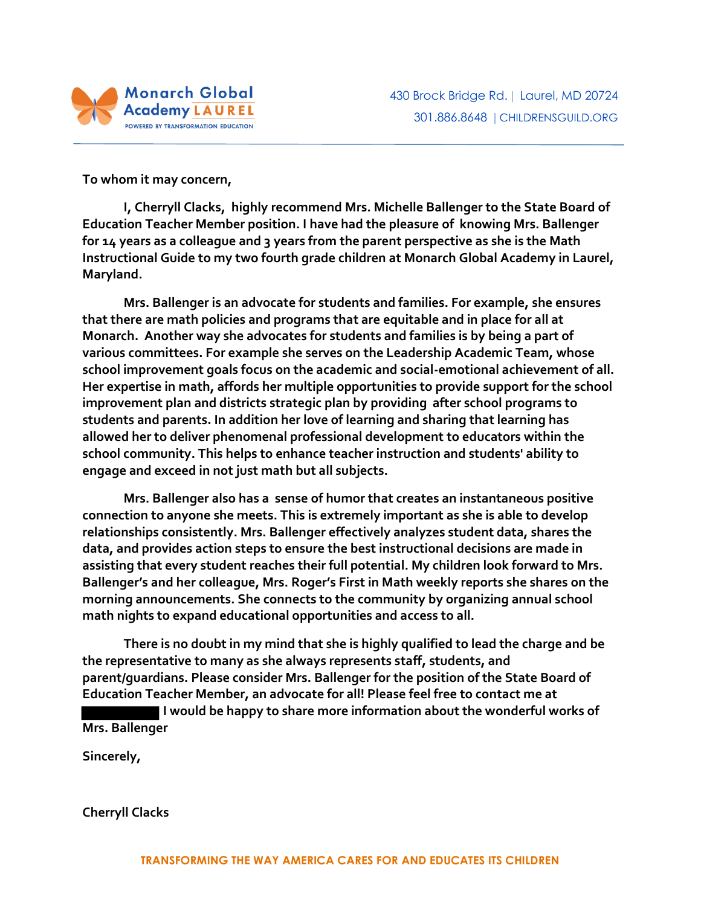

**To whom it may concern,** 

 **I, Cherryll Clacks, highly recommend Mrs. Michelle Ballenger to the State Board of Education Teacher Member position. I have had the pleasure of knowing Mrs. Ballenger for 14 years as a colleague and 3 years from the parent perspective as she is the Math Instructional Guide to my two fourth grade children at Monarch Global Academy in Laurel, Maryland.** 

 **Mrs. Ballenger is an advocate for students and families. For example, she ensures that there are math policies and programs that are equitable and in place for all at Monarch. Another way she advocates for students and families is by being a part of various committees. For example she serves on the Leadership Academic Team, whose school improvement goals focus on the academic and social-emotional achievement of all. Her expertise in math, affords her multiple opportunities to provide support for the school improvement plan and districts strategic plan by providing after school programs to students and parents. In addition her love of learning and sharing that learning has allowed her to deliver phenomenal professional development to educators within the school community. This helps to enhance teacher instruction and students' ability to engage and exceed in not just math but all subjects.** 

 **Mrs. Ballenger also has a sense of humor that creates an instantaneous positive connection to anyone she meets. This is extremely important as she is able to develop relationships consistently. Mrs. Ballenger effectively analyzes student data, shares the data, and provides action steps to ensure the best instructional decisions are made in assisting that every student reaches their full potential. My children look forward to Mrs. Ballenger's and her colleague, Mrs. Roger's First in Math weekly reports she shares on the morning announcements. She connects to the community by organizing annual school math nights to expand educational opportunities and access to all.** 

 **There is no doubt in my mind that she is highly qualified to lead the charge and be the representative to many as she always represents staff, students, and parent/guardians. Please consider Mrs. Ballenger for the position of the State Board of Education Teacher Member, an advocate for all! Please feel free to contact me at** 

 **I would be happy to share more information about the wonderful works of Mrs. Ballenger** 

**Sincerely,** 

**Cherryll Clacks**